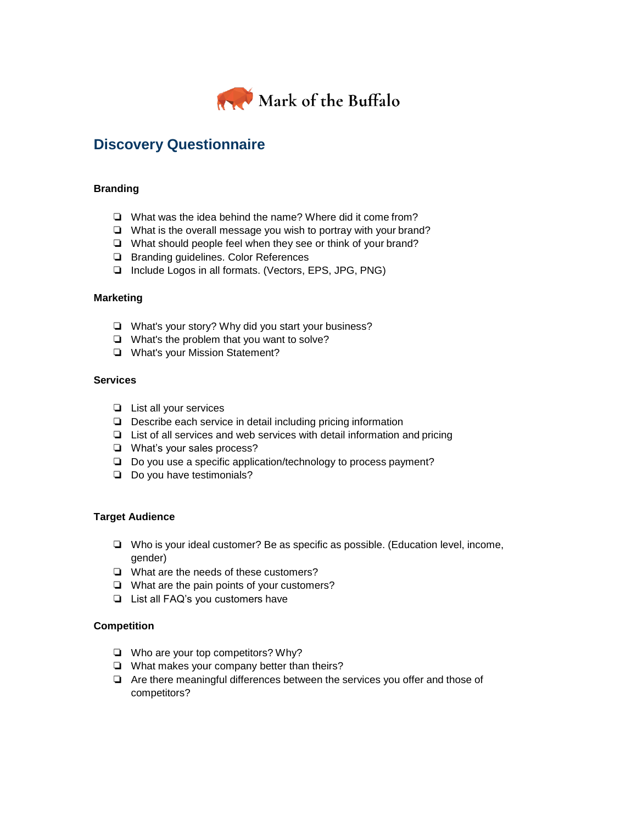

# **Discovery Questionnaire**

## **Branding**

- ❏ What was the idea behind the name? Where did it come from?
- ❏ What is the overall message you wish to portray with your brand?
- ❏ What should people feel when they see or think of your brand?
- ❏ Branding guidelines. Color References
- ❏ Include Logos in all formats. (Vectors, EPS, JPG, PNG)

# **Marketing**

- ❏ What's your story? Why did you start your business?
- ❏ What's the problem that you want to solve?
- ❏ What's your Mission Statement?

## **Services**

- ❏ List all your services
- ❏ Describe each service in detail including pricing information
- ❏ List of all services and web services with detail information and pricing
- ❏ What's your sales process?
- ❏ Do you use a specific application/technology to process payment?
- ❏ Do you have testimonials?

### **Target Audience**

- ❏ Who is your ideal customer? Be as specific as possible. (Education level, income, gender)
- ❏ What are the needs of these customers?
- ❏ What are the pain points of your customers?
- ❏ List all FAQ's you customers have

### **Competition**

- ❏ Who are your top competitors? Why?
- ❏ What makes your company better than theirs?
- ❏ Are there meaningful differences between the services you offer and those of competitors?